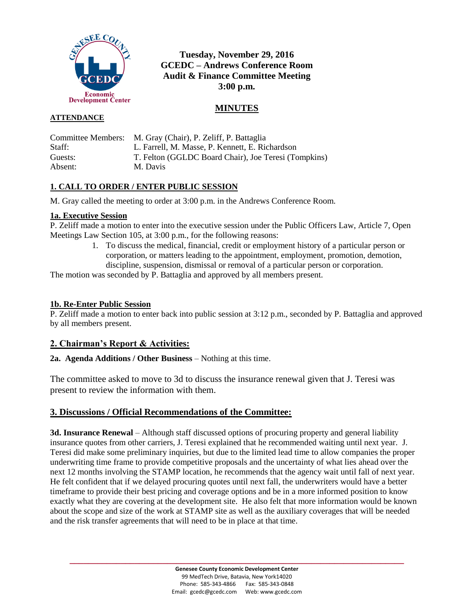

# **Tuesday, November 29, 2016 GCEDC – Andrews Conference Room Audit & Finance Committee Meeting 3:00 p.m.**

# **MINUTES**

### **ATTENDANCE**

|         | Committee Members: M. Gray (Chair), P. Zeliff, P. Battaglia |
|---------|-------------------------------------------------------------|
| Staff:  | L. Farrell, M. Masse, P. Kennett, E. Richardson             |
| Guests: | T. Felton (GGLDC Board Chair), Joe Teresi (Tompkins)        |
| Absent: | M. Davis                                                    |

## **1. CALL TO ORDER / ENTER PUBLIC SESSION**

M. Gray called the meeting to order at 3:00 p.m. in the Andrews Conference Room.

### **1a. Executive Session**

P. Zeliff made a motion to enter into the executive session under the Public Officers Law, Article 7, Open Meetings Law Section 105, at 3:00 p.m., for the following reasons:

> 1. To discuss the medical, financial, credit or employment history of a particular person or corporation, or matters leading to the appointment, employment, promotion, demotion, discipline, suspension, dismissal or removal of a particular person or corporation.

The motion was seconded by P. Battaglia and approved by all members present.

### **1b. Re-Enter Public Session**

P. Zeliff made a motion to enter back into public session at 3:12 p.m., seconded by P. Battaglia and approved by all members present.

## **2. Chairman's Report & Activities:**

**2a. Agenda Additions / Other Business** – Nothing at this time.

The committee asked to move to 3d to discuss the insurance renewal given that J. Teresi was present to review the information with them.

### **3. Discussions / Official Recommendations of the Committee:**

**3d. Insurance Renewal** – Although staff discussed options of procuring property and general liability insurance quotes from other carriers, J. Teresi explained that he recommended waiting until next year. J. Teresi did make some preliminary inquiries, but due to the limited lead time to allow companies the proper underwriting time frame to provide competitive proposals and the uncertainty of what lies ahead over the next 12 months involving the STAMP location, he recommends that the agency wait until fall of next year. He felt confident that if we delayed procuring quotes until next fall, the underwriters would have a better timeframe to provide their best pricing and coverage options and be in a more informed position to know exactly what they are covering at the development site. He also felt that more information would be known about the scope and size of the work at STAMP site as well as the auxiliary coverages that will be needed and the risk transfer agreements that will need to be in place at that time.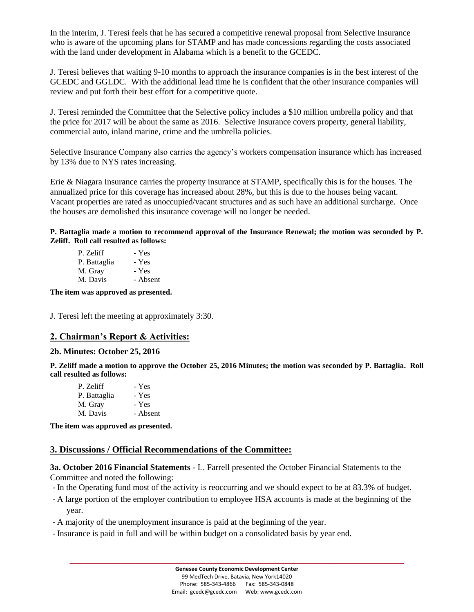In the interim, J. Teresi feels that he has secured a competitive renewal proposal from Selective Insurance who is aware of the upcoming plans for STAMP and has made concessions regarding the costs associated with the land under development in Alabama which is a benefit to the GCEDC.

J. Teresi believes that waiting 9-10 months to approach the insurance companies is in the best interest of the GCEDC and GGLDC. With the additional lead time he is confident that the other insurance companies will review and put forth their best effort for a competitive quote.

J. Teresi reminded the Committee that the Selective policy includes a \$10 million umbrella policy and that the price for 2017 will be about the same as 2016. Selective Insurance covers property, general liability, commercial auto, inland marine, crime and the umbrella policies.

Selective Insurance Company also carries the agency's workers compensation insurance which has increased by 13% due to NYS rates increasing.

Erie & Niagara Insurance carries the property insurance at STAMP, specifically this is for the houses. The annualized price for this coverage has increased about 28%, but this is due to the houses being vacant. Vacant properties are rated as unoccupied/vacant structures and as such have an additional surcharge. Once the houses are demolished this insurance coverage will no longer be needed.

**P. Battaglia made a motion to recommend approval of the Insurance Renewal; the motion was seconded by P. Zeliff. Roll call resulted as follows:**

| P. Zeliff    | - Yes    |
|--------------|----------|
| P. Battaglia | - Yes    |
| M. Gray      | - Yes    |
| M. Davis     | - Absent |

**The item was approved as presented.**

J. Teresi left the meeting at approximately 3:30.

#### **2. Chairman's Report & Activities:**

#### **2b. Minutes: October 25, 2016**

**P. Zeliff made a motion to approve the October 25, 2016 Minutes; the motion was seconded by P. Battaglia. Roll call resulted as follows:**

| - Yes    |
|----------|
| - Yes    |
| - Yes    |
| - Absent |
|          |

**The item was approved as presented.**

#### **3. Discussions / Official Recommendations of the Committee:**

**3a. October 2016 Financial Statements -** L. Farrell presented the October Financial Statements to the Committee and noted the following:

- In the Operating fund most of the activity is reoccurring and we should expect to be at 83.3% of budget.
- A large portion of the employer contribution to employee HSA accounts is made at the beginning of the year.
- A majority of the unemployment insurance is paid at the beginning of the year.
- Insurance is paid in full and will be within budget on a consolidated basis by year end.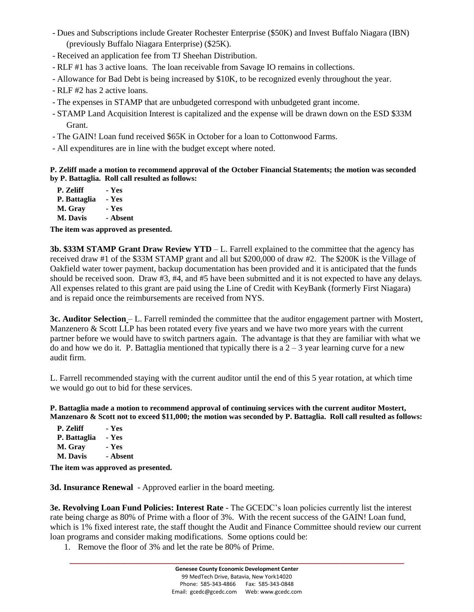- Dues and Subscriptions include Greater Rochester Enterprise (\$50K) and Invest Buffalo Niagara (IBN) (previously Buffalo Niagara Enterprise) (\$25K).
- Received an application fee from TJ Sheehan Distribution.
- RLF #1 has 3 active loans. The loan receivable from Savage IO remains in collections.
- Allowance for Bad Debt is being increased by \$10K, to be recognized evenly throughout the year.
- RLF #2 has 2 active loans.
- The expenses in STAMP that are unbudgeted correspond with unbudgeted grant income.
- STAMP Land Acquisition Interest is capitalized and the expense will be drawn down on the ESD \$33M Grant.
- The GAIN! Loan fund received \$65K in October for a loan to Cottonwood Farms.
- All expenditures are in line with the budget except where noted.

**P. Zeliff made a motion to recommend approval of the October Financial Statements; the motion was seconded by P. Battaglia. Roll call resulted as follows:**

**P. Zeliff - Yes P. Battaglia - Yes M. Gray - Yes M. Davis - Absent**

**The item was approved as presented.**

**3b. \$33M STAMP Grant Draw Review YTD** – L. Farrell explained to the committee that the agency has received draw #1 of the \$33M STAMP grant and all but \$200,000 of draw #2. The \$200K is the Village of Oakfield water tower payment, backup documentation has been provided and it is anticipated that the funds should be received soon. Draw #3, #4, and #5 have been submitted and it is not expected to have any delays. All expenses related to this grant are paid using the Line of Credit with KeyBank (formerly First Niagara) and is repaid once the reimbursements are received from NYS.

**3c. Auditor Selection** – L. Farrell reminded the committee that the auditor engagement partner with Mostert, Manzenero & Scott LLP has been rotated every five years and we have two more years with the current partner before we would have to switch partners again. The advantage is that they are familiar with what we do and how we do it. P. Battaglia mentioned that typically there is a  $2 - 3$  year learning curve for a new audit firm.

L. Farrell recommended staying with the current auditor until the end of this 5 year rotation, at which time we would go out to bid for these services.

**P. Battaglia made a motion to recommend approval of continuing services with the current auditor Mostert, Manzenaro & Scott not to exceed \$11,000; the motion was seconded by P. Battaglia. Roll call resulted as follows:**

| P. Zeliff    | - Yes    |
|--------------|----------|
| P. Battaglia | - Yes    |
| M. Gray      | - Yes    |
| M. Davis     | - Absent |

**The item was approved as presented.**

**3d. Insurance Renewal** - Approved earlier in the board meeting.

**3e. Revolving Loan Fund Policies: Interest Rate** - The GCEDC's loan policies currently list the interest rate being charge as 80% of Prime with a floor of 3%. With the recent success of the GAIN! Loan fund, which is 1% fixed interest rate, the staff thought the Audit and Finance Committee should review our current loan programs and consider making modifications. Some options could be:

1. Remove the floor of 3% and let the rate be 80% of Prime.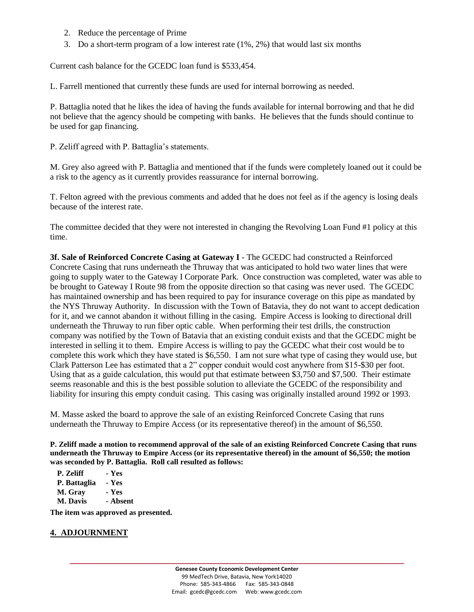- 2. Reduce the percentage of Prime
- 3. Do a short-term program of a low interest rate (1%, 2%) that would last six months

Current cash balance for the GCEDC loan fund is \$533,454.

L. Farrell mentioned that currently these funds are used for internal borrowing as needed.

P. Battaglia noted that he likes the idea of having the funds available for internal borrowing and that he did not believe that the agency should be competing with banks. He believes that the funds should continue to be used for gap financing.

P. Zeliff agreed with P. Battaglia's statements.

M. Grey also agreed with P. Battaglia and mentioned that if the funds were completely loaned out it could be a risk to the agency as it currently provides reassurance for internal borrowing.

T. Felton agreed with the previous comments and added that he does not feel as if the agency is losing deals because of the interest rate.

The committee decided that they were not interested in changing the Revolving Loan Fund #1 policy at this time.

**3f. Sale of Reinforced Concrete Casing at Gateway I** - The GCEDC had constructed a Reinforced Concrete Casing that runs underneath the Thruway that was anticipated to hold two water lines that were going to supply water to the Gateway I Corporate Park. Once construction was completed, water was able to be brought to Gateway I Route 98 from the opposite direction so that casing was never used. The GCEDC has maintained ownership and has been required to pay for insurance coverage on this pipe as mandated by the NYS Thruway Authority. In discussion with the Town of Batavia, they do not want to accept dedication for it, and we cannot abandon it without filling in the casing. Empire Access is looking to directional drill underneath the Thruway to run fiber optic cable. When performing their test drills, the construction company was notified by the Town of Batavia that an existing conduit exists and that the GCEDC might be interested in selling it to them. Empire Access is willing to pay the GCEDC what their cost would be to complete this work which they have stated is \$6,550. I am not sure what type of casing they would use, but Clark Patterson Lee has estimated that a 2" copper conduit would cost anywhere from \$15-\$30 per foot. Using that as a guide calculation, this would put that estimate between \$3,750 and \$7,500. Their estimate seems reasonable and this is the best possible solution to alleviate the GCEDC of the responsibility and liability for insuring this empty conduit casing. This casing was originally installed around 1992 or 1993.

M. Masse asked the board to approve the sale of an existing Reinforced Concrete Casing that runs underneath the Thruway to Empire Access (or its representative thereof) in the amount of \$6,550.

**P. Zeliff made a motion to recommend approval of the sale of an existing Reinforced Concrete Casing that runs underneath the Thruway to Empire Access (or its representative thereof) in the amount of \$6,550; the motion was seconded by P. Battaglia. Roll call resulted as follows:**

**P. Zeliff - Yes P. Battaglia - Yes M. Gray - Yes M. Davis - Absent**

**The item was approved as presented.**

#### **4. ADJOURNMENT**